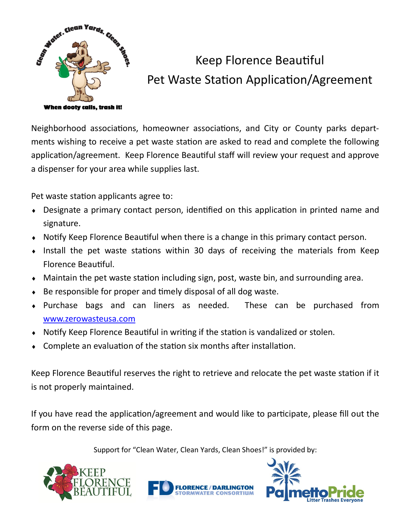

## Keep Florence Beautiful Pet Waste Station Application/Agreement

Neighborhood associations, homeowner associations, and City or County parks departments wishing to receive a pet waste station are asked to read and complete the following application/agreement. Keep Florence Beautiful staff will review your request and approve a dispenser for your area while supplies last.

Pet waste station applicants agree to:

- Designate a primary contact person, identified on this application in printed name and signature.
- Notify Keep Florence Beautiful when there is a change in this primary contact person.
- $\bullet$  Install the pet waste stations within 30 days of receiving the materials from Keep Florence Beautiful.
- Maintain the pet waste station including sign, post, waste bin, and surrounding area.
- Be responsible for proper and timely disposal of all dog waste.
- Purchase bags and can liners as needed. These can be purchased from [www.zerowasteusa.com](http://www.zerowasteusa.com)
- Notify Keep Florence Beautiful in writing if the station is vandalized or stolen.
- Complete an evaluation of the station six months after installation.

Keep Florence Beautiful reserves the right to retrieve and relocate the pet waste station if it is not properly maintained.

If you have read the application/agreement and would like to participate, please fill out the form on the reverse side of this page.

Support for "Clean Water, Clean Yards, Clean Shoes!" is provided by: